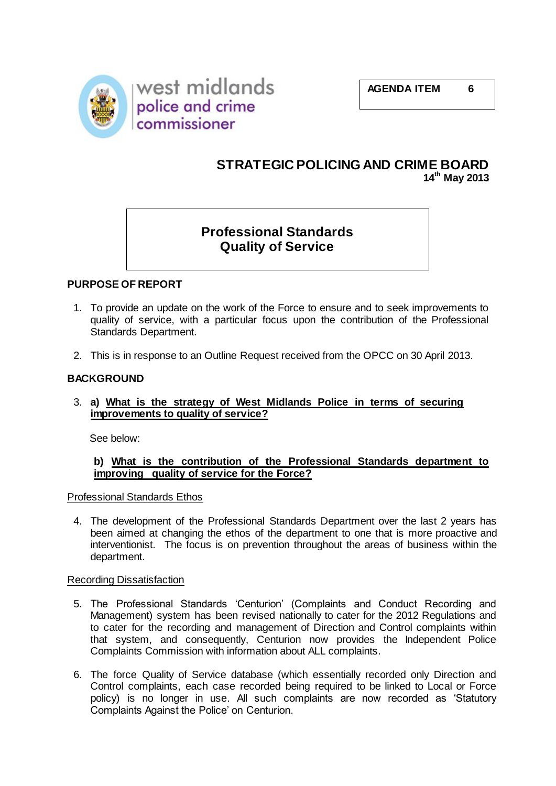



# **STRATEGIC POLICING AND CRIME BOARD 14th May 2013**

# **Professional Standards Quality of Service**

# **PURPOSE OF REPORT**

- 1. To provide an update on the work of the Force to ensure and to seek improvements to quality of service, with a particular focus upon the contribution of the Professional Standards Department.
- 2. This is in response to an Outline Request received from the OPCC on 30 April 2013.

## **BACKGROUND**

3. **a) What is the strategy of West Midlands Police in terms of securing improvements to quality of service?**

See below:

## **b) What is the contribution of the Professional Standards department to improving quality of service for the Force?**

Professional Standards Ethos

4. The development of the Professional Standards Department over the last 2 years has been aimed at changing the ethos of the department to one that is more proactive and interventionist. The focus is on prevention throughout the areas of business within the department.

#### Recording Dissatisfaction

- 5. The Professional Standards 'Centurion' (Complaints and Conduct Recording and Management) system has been revised nationally to cater for the 2012 Regulations and to cater for the recording and management of Direction and Control complaints within that system, and consequently, Centurion now provides the Independent Police Complaints Commission with information about ALL complaints.
- 6. The force Quality of Service database (which essentially recorded only Direction and Control complaints, each case recorded being required to be linked to Local or Force policy) is no longer in use. All such complaints are now recorded as 'Statutory Complaints Against the Police' on Centurion.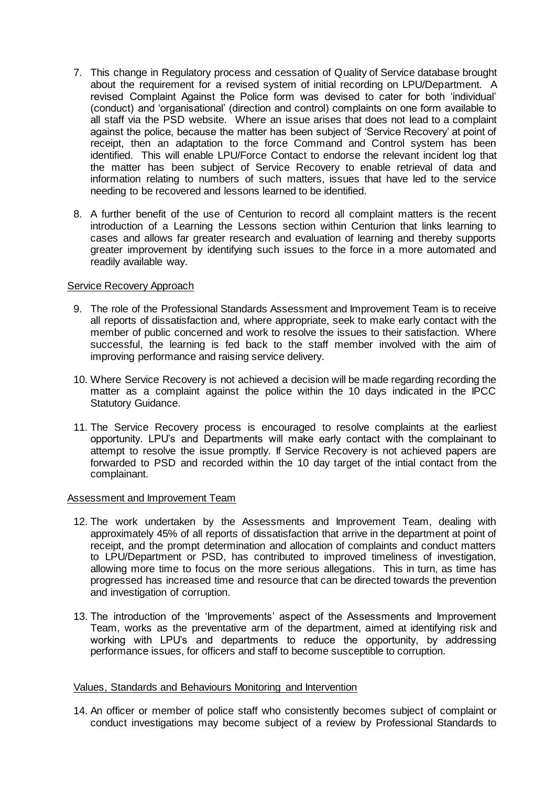- 7. This change in Regulatory process and cessation of Quality of Service database brought about the requirement for a revised system of initial recording on LPU/Department. A revised Complaint Against the Police form was devised to cater for both 'individual' (conduct) and 'organisational' (direction and control) complaints on one form available to all staff via the PSD website. Where an issue arises that does not lead to a complaint against the police, because the matter has been subject of 'Service Recovery' at point of receipt, then an adaptation to the force Command and Control system has been identified. This will enable LPU/Force Contact to endorse the relevant incident log that the matter has been subject of Service Recovery to enable retrieval of data and information relating to numbers of such matters, issues that have led to the service needing to be recovered and lessons learned to be identified.
- 8. A further benefit of the use of Centurion to record all complaint matters is the recent introduction of a Learning the Lessons section within Centurion that links learning to cases and allows far greater research and evaluation of learning and thereby supports greater improvement by identifying such issues to the force in a more automated and readily available way.

#### Service Recovery Approach

- 9. The role of the Professional Standards Assessment and Improvement Team is to receive all reports of dissatisfaction and, where appropriate, seek to make early contact with the member of public concerned and work to resolve the issues to their satisfaction. Where successful, the learning is fed back to the staff member involved with the aim of improving performance and raising service delivery.
- 10. Where Service Recovery is not achieved a decision will be made regarding recording the matter as a complaint against the police within the 10 days indicated in the IPCC Statutory Guidance.
- 11. The Service Recovery process is encouraged to resolve complaints at the earliest opportunity. LPU's and Departments will make early contact with the complainant to attempt to resolve the issue promptly. If Service Recovery is not achieved papers are forwarded to PSD and recorded within the 10 day target of the intial contact from the complainant.

#### Assessment and Improvement Team

- 12. The work undertaken by the Assessments and Improvement Team, dealing with approximately 45% of all reports of dissatisfaction that arrive in the department at point of receipt, and the prompt determination and allocation of complaints and conduct matters to LPU/Department or PSD, has contributed to improved timeliness of investigation, allowing more time to focus on the more serious allegations. This in turn, as time has progressed has increased time and resource that can be directed towards the prevention and investigation of corruption.
- 13. The introduction of the 'Improvements' aspect of the Assessments and Improvement Team, works as the preventative arm of the department, aimed at identifying risk and working with LPU's and departments to reduce the opportunity, by addressing performance issues, for officers and staff to become susceptible to corruption.

#### Values, Standards and Behaviours Monitoring and Intervention

14. An officer or member of police staff who consistently becomes subject of complaint or conduct investigations may become subject of a review by Professional Standards to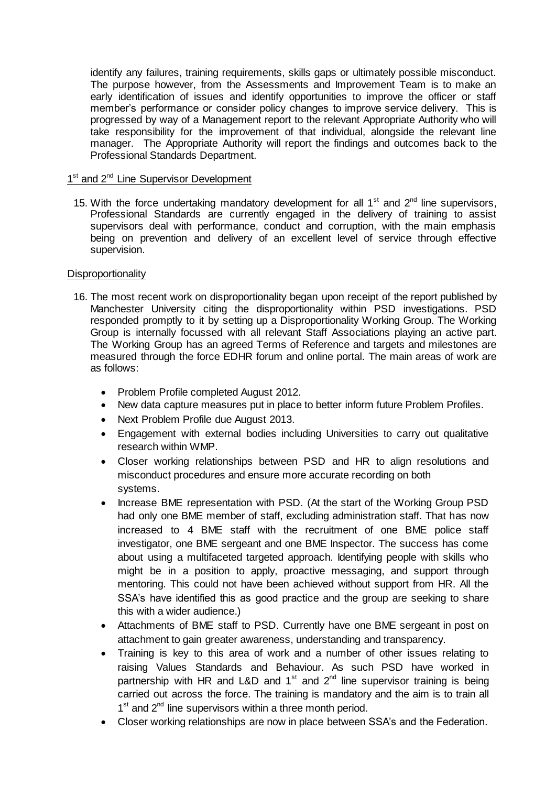identify any failures, training requirements, skills gaps or ultimately possible misconduct. The purpose however, from the Assessments and Improvement Team is to make an early identification of issues and identify opportunities to improve the officer or staff member's performance or consider policy changes to improve service delivery. This is progressed by way of a Management report to the relevant Appropriate Authority who will take responsibility for the improvement of that individual, alongside the relevant line manager. The Appropriate Authority will report the findings and outcomes back to the Professional Standards Department.

# 1<sup>st</sup> and 2<sup>nd</sup> Line Supervisor Development

15. With the force undertaking mandatory development for all  $1<sup>st</sup>$  and  $2<sup>nd</sup>$  line supervisors, Professional Standards are currently engaged in the delivery of training to assist supervisors deal with performance, conduct and corruption, with the main emphasis being on prevention and delivery of an excellent level of service through effective supervision.

# **Disproportionality**

- 16. The most recent work on disproportionality began upon receipt of the report published by Manchester University citing the disproportionality within PSD investigations. PSD responded promptly to it by setting up a Disproportionality Working Group. The Working Group is internally focussed with all relevant Staff Associations playing an active part. The Working Group has an agreed Terms of Reference and targets and milestones are measured through the force EDHR forum and online portal. The main areas of work are as follows:
	- Problem Profile completed August 2012.
	- New data capture measures put in place to better inform future Problem Profiles.
	- Next Problem Profile due August 2013.
	- Engagement with external bodies including Universities to carry out qualitative research within WMP.
	- Closer working relationships between PSD and HR to align resolutions and misconduct procedures and ensure more accurate recording on both systems.
	- Increase BME representation with PSD. (At the start of the Working Group PSD had only one BME member of staff, excluding administration staff. That has now increased to 4 BME staff with the recruitment of one BME police staff investigator, one BME sergeant and one BME Inspector. The success has come about using a multifaceted targeted approach. Identifying people with skills who might be in a position to apply, proactive messaging, and support through mentoring. This could not have been achieved without support from HR. All the SSA's have identified this as good practice and the group are seeking to share this with a wider audience.)
	- Attachments of BME staff to PSD. Currently have one BME sergeant in post on attachment to gain greater awareness, understanding and transparency.
	- Training is key to this area of work and a number of other issues relating to raising Values Standards and Behaviour. As such PSD have worked in partnership with HR and L&D and  $1<sup>st</sup>$  and  $2<sup>nd</sup>$  line supervisor training is being carried out across the force. The training is mandatory and the aim is to train all 1<sup>st</sup> and 2<sup>nd</sup> line supervisors within a three month period.
	- Closer working relationships are now in place between SSA's and the Federation.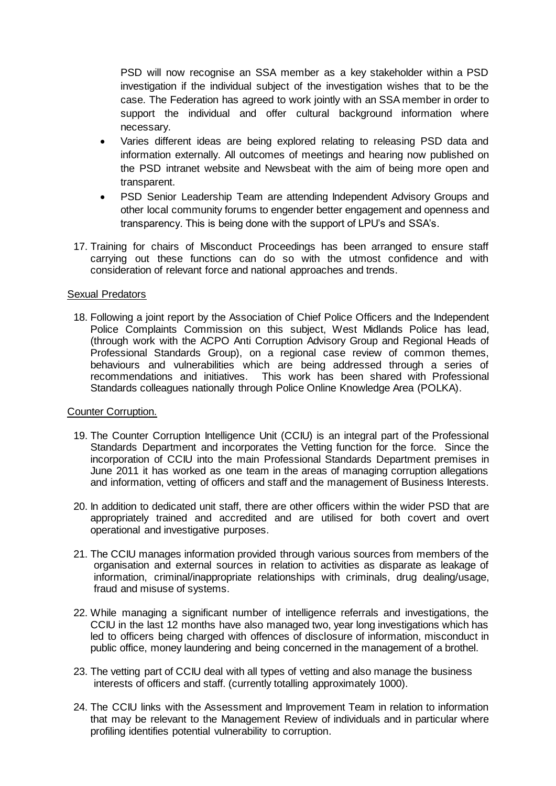PSD will now recognise an SSA member as a key stakeholder within a PSD investigation if the individual subject of the investigation wishes that to be the case. The Federation has agreed to work jointly with an SSA member in order to support the individual and offer cultural background information where necessary.

- Varies different ideas are being explored relating to releasing PSD data and information externally. All outcomes of meetings and hearing now published on the PSD intranet website and Newsbeat with the aim of being more open and transparent.
- PSD Senior Leadership Team are attending Independent Advisory Groups and other local community forums to engender better engagement and openness and transparency. This is being done with the support of LPU's and SSA's.
- 17. Training for chairs of Misconduct Proceedings has been arranged to ensure staff carrying out these functions can do so with the utmost confidence and with consideration of relevant force and national approaches and trends.

#### Sexual Predators

18. Following a joint report by the Association of Chief Police Officers and the Independent Police Complaints Commission on this subject, West Midlands Police has lead, (through work with the ACPO Anti Corruption Advisory Group and Regional Heads of Professional Standards Group), on a regional case review of common themes, behaviours and vulnerabilities which are being addressed through a series of recommendations and initiatives. This work has been shared with Professional Standards colleagues nationally through Police Online Knowledge Area (POLKA).

#### Counter Corruption.

- 19. The Counter Corruption Intelligence Unit (CCIU) is an integral part of the Professional Standards Department and incorporates the Vetting function for the force. Since the incorporation of CCIU into the main Professional Standards Department premises in June 2011 it has worked as one team in the areas of managing corruption allegations and information, vetting of officers and staff and the management of Business Interests.
- 20. In addition to dedicated unit staff, there are other officers within the wider PSD that are appropriately trained and accredited and are utilised for both covert and overt operational and investigative purposes.
- 21. The CCIU manages information provided through various sources from members of the organisation and external sources in relation to activities as disparate as leakage of information, criminal/inappropriate relationships with criminals, drug dealing/usage, fraud and misuse of systems.
- 22. While managing a significant number of intelligence referrals and investigations, the CCIU in the last 12 months have also managed two, year long investigations which has led to officers being charged with offences of disclosure of information, misconduct in public office, money laundering and being concerned in the management of a brothel.
- 23. The vetting part of CCIU deal with all types of vetting and also manage the business interests of officers and staff. (currently totalling approximately 1000).
- 24. The CCIU links with the Assessment and Improvement Team in relation to information that may be relevant to the Management Review of individuals and in particular where profiling identifies potential vulnerability to corruption.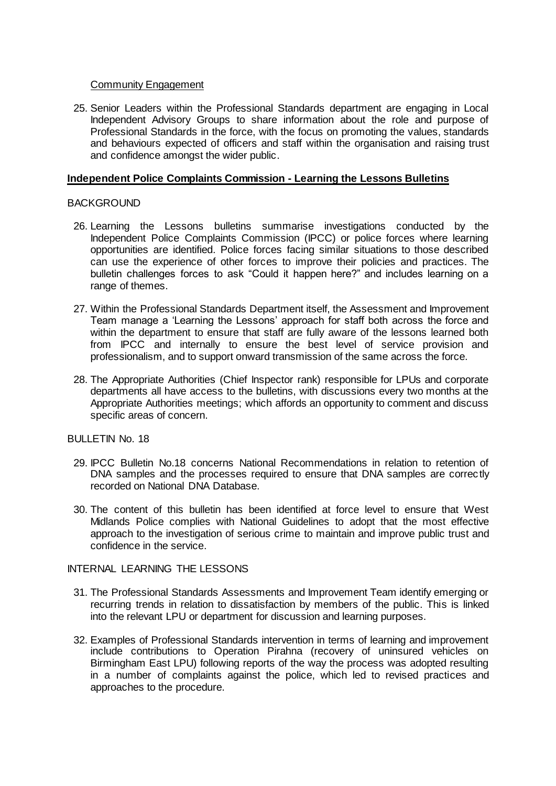#### Community Engagement

25. Senior Leaders within the Professional Standards department are engaging in Local Independent Advisory Groups to share information about the role and purpose of Professional Standards in the force, with the focus on promoting the values, standards and behaviours expected of officers and staff within the organisation and raising trust and confidence amongst the wider public.

### **Independent Police Complaints Commission - Learning the Lessons Bulletins**

## **BACKGROUND**

- 26. Learning the Lessons bulletins summarise investigations conducted by the Independent Police Complaints Commission (IPCC) or police forces where learning opportunities are identified. Police forces facing similar situations to those described can use the experience of other forces to improve their policies and practices. The bulletin challenges forces to ask "Could it happen here?" and includes learning on a range of themes.
- 27. Within the Professional Standards Department itself, the Assessment and Improvement Team manage a 'Learning the Lessons' approach for staff both across the force and within the department to ensure that staff are fully aware of the lessons learned both from IPCC and internally to ensure the best level of service provision and professionalism, and to support onward transmission of the same across the force.
- 28. The Appropriate Authorities (Chief Inspector rank) responsible for LPUs and corporate departments all have access to the bulletins, with discussions every two months at the Appropriate Authorities meetings; which affords an opportunity to comment and discuss specific areas of concern.

BULLETIN No. 18

- 29. IPCC Bulletin No.18 concerns National Recommendations in relation to retention of DNA samples and the processes required to ensure that DNA samples are correctly recorded on National DNA Database.
- 30. The content of this bulletin has been identified at force level to ensure that West Midlands Police complies with National Guidelines to adopt that the most effective approach to the investigation of serious crime to maintain and improve public trust and confidence in the service.

#### INTERNAL LEARNING THE LESSONS

- 31. The Professional Standards Assessments and Improvement Team identify emerging or recurring trends in relation to dissatisfaction by members of the public. This is linked into the relevant LPU or department for discussion and learning purposes.
- 32. Examples of Professional Standards intervention in terms of learning and improvement include contributions to Operation Pirahna (recovery of uninsured vehicles on Birmingham East LPU) following reports of the way the process was adopted resulting in a number of complaints against the police, which led to revised practices and approaches to the procedure.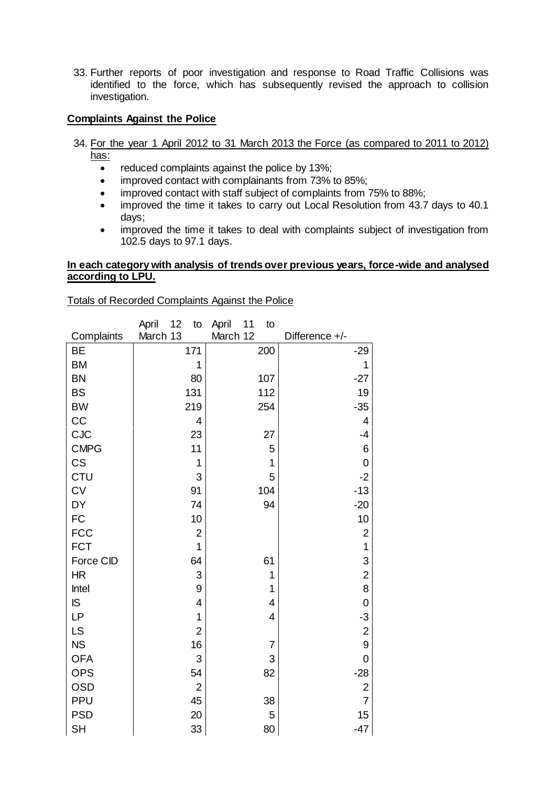33. Further reports of poor investigation and response to Road Traffic Collisions was identified to the force, which has subsequently revised the approach to collision investigation.

# **Complaints Against the Police**

- 34. For the year 1 April 2012 to 31 March 2013 the Force (as compared to 2011 to 2012) has:
	- reduced complaints against the police by 13%;
	- improved contact with complainants from 73% to 85%;
	- improved contact with staff subject of complaints from 75% to 88%;
	- improved the time it takes to carry out Local Resolution from 43.7 days to 40.1 days;
	- improved the time it takes to deal with complaints subject of investigation from 102.5 days to 97.1 days.

#### **In each category with analysis of trends over previous years, force-wide and analysed according to LPU.**

#### Totals of Recorded Complaints Against the Police

| Complaints<br>Difference +/-<br>171<br><b>BE</b><br>200<br>$-29$<br><b>BM</b><br>1<br>1<br><b>BN</b><br>80<br>107<br>$-27$<br><b>BS</b><br>131<br>112<br>19<br><b>BW</b><br>219<br>254<br>$-35$<br>CC<br>4<br>4<br><b>CJC</b><br>27<br>23<br>$-4$<br><b>CMPG</b><br>11<br>5<br>6<br>CS<br>1<br>1<br>0<br><b>CTU</b><br>3<br>5<br>$-2$<br>CV<br>91<br>$-13$<br>104<br><b>DY</b><br>74<br>$-20$<br>94<br>FC<br>10<br>10<br><b>FCC</b><br>$\overline{\mathbf{c}}$<br>$\overline{\mathbf{c}}$<br><b>FCT</b><br>$\mathbf{1}$<br>1<br>Force CID<br>3<br>64<br>61<br>$\overline{c}$<br><b>HR</b><br>3<br>1<br>8<br>9<br>Intel<br>1<br>IS<br>4<br>$\mathbf 0$<br>4<br><b>LP</b><br>1<br>$\overline{4}$<br>$-3$<br>LS<br>$\overline{c}$<br>$\overline{\mathbf{c}}$<br><b>NS</b><br>16<br>9<br>$\overline{7}$<br><b>OFA</b><br>3<br>3<br>$\mathbf 0$<br><b>OPS</b><br>54<br>82<br>$-28$<br><b>OSD</b><br>$\overline{2}$<br>$\overline{\mathbf{c}}$<br>PPU<br>$\overline{7}$<br>45<br>38 |            | April<br>12<br>to<br>March 13 | April<br>11<br>to<br>March 12 |    |
|-------------------------------------------------------------------------------------------------------------------------------------------------------------------------------------------------------------------------------------------------------------------------------------------------------------------------------------------------------------------------------------------------------------------------------------------------------------------------------------------------------------------------------------------------------------------------------------------------------------------------------------------------------------------------------------------------------------------------------------------------------------------------------------------------------------------------------------------------------------------------------------------------------------------------------------------------------------------------------|------------|-------------------------------|-------------------------------|----|
|                                                                                                                                                                                                                                                                                                                                                                                                                                                                                                                                                                                                                                                                                                                                                                                                                                                                                                                                                                               |            |                               |                               |    |
|                                                                                                                                                                                                                                                                                                                                                                                                                                                                                                                                                                                                                                                                                                                                                                                                                                                                                                                                                                               |            |                               |                               |    |
|                                                                                                                                                                                                                                                                                                                                                                                                                                                                                                                                                                                                                                                                                                                                                                                                                                                                                                                                                                               |            |                               |                               |    |
|                                                                                                                                                                                                                                                                                                                                                                                                                                                                                                                                                                                                                                                                                                                                                                                                                                                                                                                                                                               |            |                               |                               |    |
|                                                                                                                                                                                                                                                                                                                                                                                                                                                                                                                                                                                                                                                                                                                                                                                                                                                                                                                                                                               |            |                               |                               |    |
|                                                                                                                                                                                                                                                                                                                                                                                                                                                                                                                                                                                                                                                                                                                                                                                                                                                                                                                                                                               |            |                               |                               |    |
|                                                                                                                                                                                                                                                                                                                                                                                                                                                                                                                                                                                                                                                                                                                                                                                                                                                                                                                                                                               |            |                               |                               |    |
|                                                                                                                                                                                                                                                                                                                                                                                                                                                                                                                                                                                                                                                                                                                                                                                                                                                                                                                                                                               |            |                               |                               |    |
|                                                                                                                                                                                                                                                                                                                                                                                                                                                                                                                                                                                                                                                                                                                                                                                                                                                                                                                                                                               |            |                               |                               |    |
|                                                                                                                                                                                                                                                                                                                                                                                                                                                                                                                                                                                                                                                                                                                                                                                                                                                                                                                                                                               |            |                               |                               |    |
|                                                                                                                                                                                                                                                                                                                                                                                                                                                                                                                                                                                                                                                                                                                                                                                                                                                                                                                                                                               |            |                               |                               |    |
|                                                                                                                                                                                                                                                                                                                                                                                                                                                                                                                                                                                                                                                                                                                                                                                                                                                                                                                                                                               |            |                               |                               |    |
|                                                                                                                                                                                                                                                                                                                                                                                                                                                                                                                                                                                                                                                                                                                                                                                                                                                                                                                                                                               |            |                               |                               |    |
|                                                                                                                                                                                                                                                                                                                                                                                                                                                                                                                                                                                                                                                                                                                                                                                                                                                                                                                                                                               |            |                               |                               |    |
|                                                                                                                                                                                                                                                                                                                                                                                                                                                                                                                                                                                                                                                                                                                                                                                                                                                                                                                                                                               |            |                               |                               |    |
|                                                                                                                                                                                                                                                                                                                                                                                                                                                                                                                                                                                                                                                                                                                                                                                                                                                                                                                                                                               |            |                               |                               |    |
|                                                                                                                                                                                                                                                                                                                                                                                                                                                                                                                                                                                                                                                                                                                                                                                                                                                                                                                                                                               |            |                               |                               |    |
|                                                                                                                                                                                                                                                                                                                                                                                                                                                                                                                                                                                                                                                                                                                                                                                                                                                                                                                                                                               |            |                               |                               |    |
|                                                                                                                                                                                                                                                                                                                                                                                                                                                                                                                                                                                                                                                                                                                                                                                                                                                                                                                                                                               |            |                               |                               |    |
|                                                                                                                                                                                                                                                                                                                                                                                                                                                                                                                                                                                                                                                                                                                                                                                                                                                                                                                                                                               |            |                               |                               |    |
|                                                                                                                                                                                                                                                                                                                                                                                                                                                                                                                                                                                                                                                                                                                                                                                                                                                                                                                                                                               |            |                               |                               |    |
|                                                                                                                                                                                                                                                                                                                                                                                                                                                                                                                                                                                                                                                                                                                                                                                                                                                                                                                                                                               |            |                               |                               |    |
|                                                                                                                                                                                                                                                                                                                                                                                                                                                                                                                                                                                                                                                                                                                                                                                                                                                                                                                                                                               |            |                               |                               |    |
|                                                                                                                                                                                                                                                                                                                                                                                                                                                                                                                                                                                                                                                                                                                                                                                                                                                                                                                                                                               |            |                               |                               |    |
|                                                                                                                                                                                                                                                                                                                                                                                                                                                                                                                                                                                                                                                                                                                                                                                                                                                                                                                                                                               |            |                               |                               |    |
|                                                                                                                                                                                                                                                                                                                                                                                                                                                                                                                                                                                                                                                                                                                                                                                                                                                                                                                                                                               |            |                               |                               |    |
|                                                                                                                                                                                                                                                                                                                                                                                                                                                                                                                                                                                                                                                                                                                                                                                                                                                                                                                                                                               | <b>PSD</b> | 20                            | 5                             | 15 |
| <b>SH</b><br>33<br>80<br>$-47$                                                                                                                                                                                                                                                                                                                                                                                                                                                                                                                                                                                                                                                                                                                                                                                                                                                                                                                                                |            |                               |                               |    |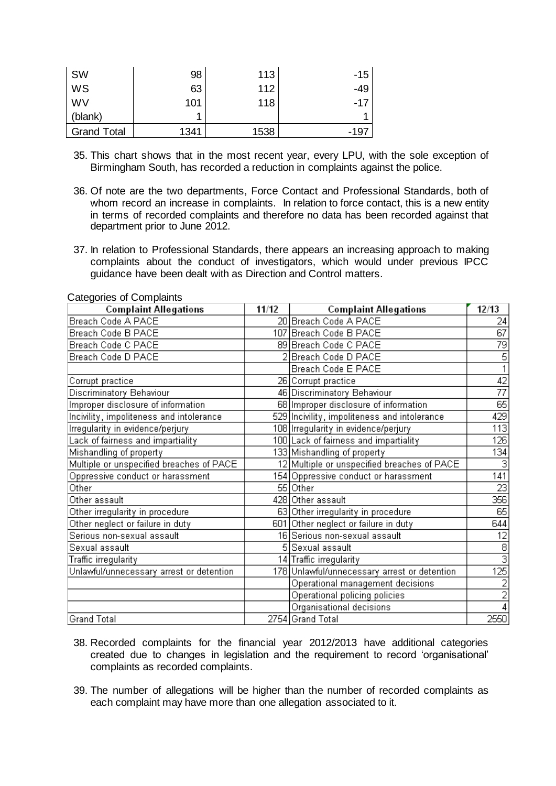| <b>SW</b>          | 98   | 113  | $-15$ |
|--------------------|------|------|-------|
| WS                 | 63   | 112  | -49   |
| <b>WV</b>          | 101  | 118  | $-17$ |
| (blank)            |      |      | 4     |
| <b>Grand Total</b> | 1341 | 1538 | -197  |

- 35. This chart shows that in the most recent year, every LPU, with the sole exception of Birmingham South, has recorded a reduction in complaints against the police.
- 36. Of note are the two departments, Force Contact and Professional Standards, both of whom record an increase in complaints. In relation to force contact, this is a new entity in terms of recorded complaints and therefore no data has been recorded against that department prior to June 2012.
- 37. In relation to Professional Standards, there appears an increasing approach to making complaints about the conduct of investigators, which would under previous IPCC guidance have been dealt with as Direction and Control matters.

| <b>Complaint Allegations</b>             | 11/12 | <b>Complaint Allegations</b>                 | 12/13            |
|------------------------------------------|-------|----------------------------------------------|------------------|
| Breach Code A PACE                       |       | 20 Breach Code A PACE                        | 24               |
| Breach Code B PACE                       |       | 107 Breach Code B PACE                       | $\overline{67}$  |
| Breach Code C PACE                       |       | 89 Breach Code C PACE                        | 79               |
| Breach Code D PACE                       |       | Breach Code D PACE                           | $\overline{5}$   |
|                                          |       | Breach Code E PACE                           |                  |
| Corrupt practice                         |       | 26 Corrupt practice                          | $\overline{42}$  |
| Discriminatory Behaviour                 |       | 46 Discriminatory Behaviour                  | 77               |
| Improper disclosure of information       |       | 68 Improper disclosure of information        | $\overline{65}$  |
| Incivility, impoliteness and intolerance |       | 529 Incivility, impoliteness and intolerance | 429              |
| Irregularity in evidence/perjury         |       | 108 Irregularity in evidence/perjury         | 113              |
| Lack of fairness and impartiality        |       | 100 Lack of fairness and impartiality        | 126              |
| Mishandling of property                  |       | 133 Mishandling of property                  | 134              |
| Multiple or unspecified breaches of PACE |       | 12 Multiple or unspecified breaches of PACE  | 3                |
| Oppressive conduct or harassment         |       | 154 Oppressive conduct or harassment         | 141              |
| Other                                    |       | 55 Other                                     | $\overline{23}$  |
| Other assault                            |       | 428 Other assault                            | 356              |
| Other irregularity in procedure          |       | 63 Other irregularity in procedure           | 65               |
| Other neglect or failure in duty         |       | 601 Other neglect or failure in duty         | 644              |
| Serious non-sexual assault               |       | 16 Serious non-sexual assault                | $\overline{12}$  |
| Sexual assault                           |       | 5 Sexual assault                             | $\overline{8}$   |
| Traffic irregularity                     |       | 14 Traffic irregularity                      | $\overline{3}$   |
| Unlawful/unnecessary arrest or detention |       | 178 Unlawful/unnecessary arrest or detention | $\overline{125}$ |
|                                          |       | Operational management decisions             |                  |
|                                          |       | Operational policing policies                | $\overline{2}$   |
|                                          |       | Organisational decisions                     |                  |
| Grand Total                              |       | 2754 Grand Total                             | 2550             |

Categories of Complaints

- 38. Recorded complaints for the financial year 2012/2013 have additional categories created due to changes in legislation and the requirement to record 'organisational' complaints as recorded complaints.
- 39. The number of allegations will be higher than the number of recorded complaints as each complaint may have more than one allegation associated to it.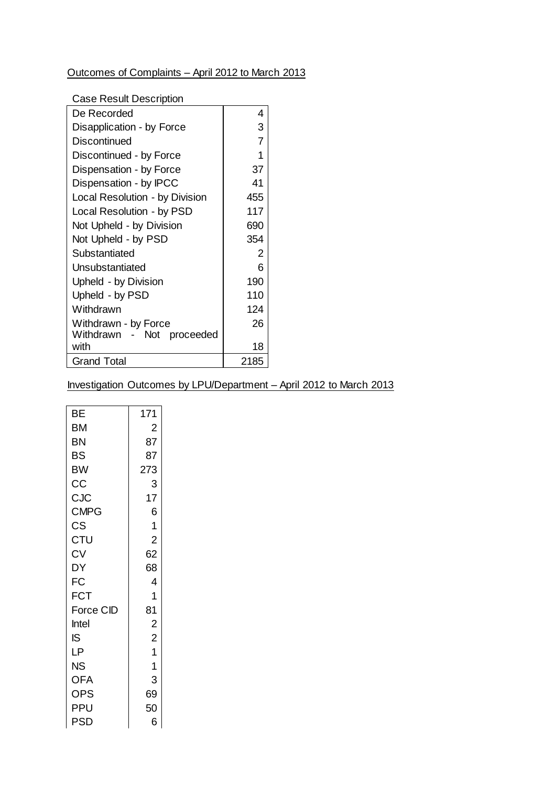# Outcomes of Complaints – April 2012 to March 2013

## Case Result Description

| De Recorded                    | 4    |
|--------------------------------|------|
| Disapplication - by Force      | 3    |
| Discontinued                   | 7    |
| Discontinued - by Force        | 1    |
| Dispensation - by Force        | 37   |
| Dispensation - by IPCC         | 41   |
| Local Resolution - by Division | 455  |
| Local Resolution - by PSD      | 117  |
| Not Upheld - by Division       | 690  |
| Not Upheld - by PSD            | 354  |
| Substantiated                  | 2    |
| Unsubstantiated                | ิค   |
| Upheld - by Division           | 190  |
| Upheld - by PSD                | 110  |
| Withdrawn                      | 124  |
| Withdrawn - by Force           | 26   |
| Withdrawn - Not proceeded      |      |
| with                           | 18   |
| Grand Total                    | 2185 |

# Investigation Outcomes by LPU/Department – April 2012 to March 2013

| BE          | 171            |
|-------------|----------------|
| ВM          | $\overline{2}$ |
| ΒN          | 87             |
| BS          | 87             |
| BW          | 273            |
| CС          | 3              |
| CJC         | 17             |
| <b>CMPG</b> | 6              |
| CS          | 1              |
| CTU         | $\overline{2}$ |
| CV          | 62             |
| DY          | 68             |
| FC          | 4              |
| FCT         | 1              |
| Force CID   | 81             |
| Intel       | $\overline{c}$ |
| IS          | $\overline{2}$ |
| LΡ          | $\overline{1}$ |
| ΝS          | 1              |
| OFA         | 3              |
| OPS         | 69             |
| PPU         | 50             |
| PSD         | 6              |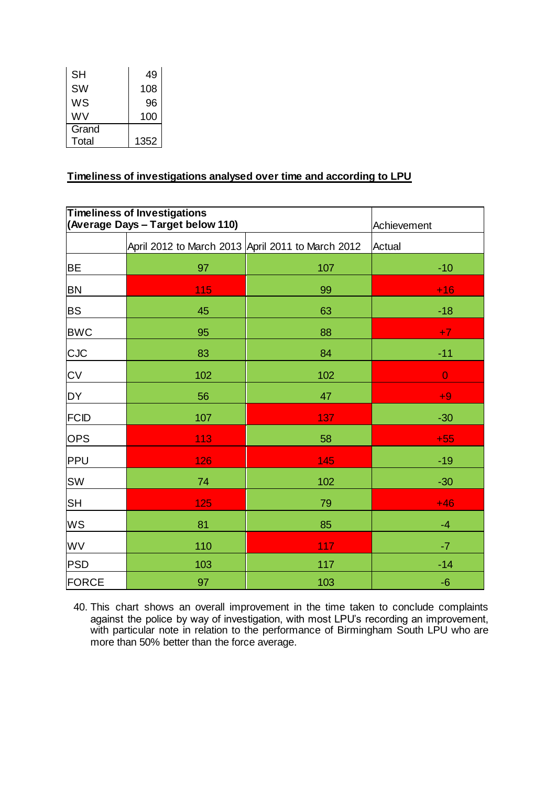| SН        | 49   |
|-----------|------|
| <b>SW</b> | 108  |
| WS        | 96   |
| WV        | 100  |
| Grand     |      |
| Total     | 1352 |

# **Timeliness of investigations analysed over time and according to LPU**

| <b>Timeliness of Investigations</b><br>(Average Days - Target below 110) |                                                   |     | Achievement    |
|--------------------------------------------------------------------------|---------------------------------------------------|-----|----------------|
|                                                                          | April 2012 to March 2013 April 2011 to March 2012 |     | Actual         |
| <b>BE</b>                                                                | 97                                                | 107 | $-10$          |
| <b>BN</b>                                                                | 115                                               | 99  | $+16$          |
| <b>BS</b>                                                                | 45                                                | 63  | $-18$          |
| <b>BWC</b>                                                               | 95                                                | 88  | $+7$           |
| <b>CJC</b>                                                               | 83                                                | 84  | $-11$          |
| <b>CV</b>                                                                | 102                                               | 102 | $\overline{0}$ |
| <b>DY</b>                                                                | 56                                                | 47  | $+9$           |
| FCID                                                                     | 107                                               | 137 | $-30$          |
| <b>OPS</b>                                                               | 113                                               | 58  | $+55$          |
| PPU                                                                      | 126                                               | 145 | $-19$          |
| <b>SW</b>                                                                | 74                                                | 102 | $-30$          |
| <b>SH</b>                                                                | 125                                               | 79  | $+46$          |
| WS                                                                       | 81                                                | 85  | $-4$           |
| WV                                                                       | 110                                               | 117 | $-7$           |
| PSD                                                                      | 103                                               | 117 | $-14$          |
| FORCE                                                                    | 97                                                | 103 | $-6$           |

40. This chart shows an overall improvement in the time taken to conclude complaints against the police by way of investigation, with most LPU's recording an improvement, with particular note in relation to the performance of Birmingham South LPU who are more than 50% better than the force average.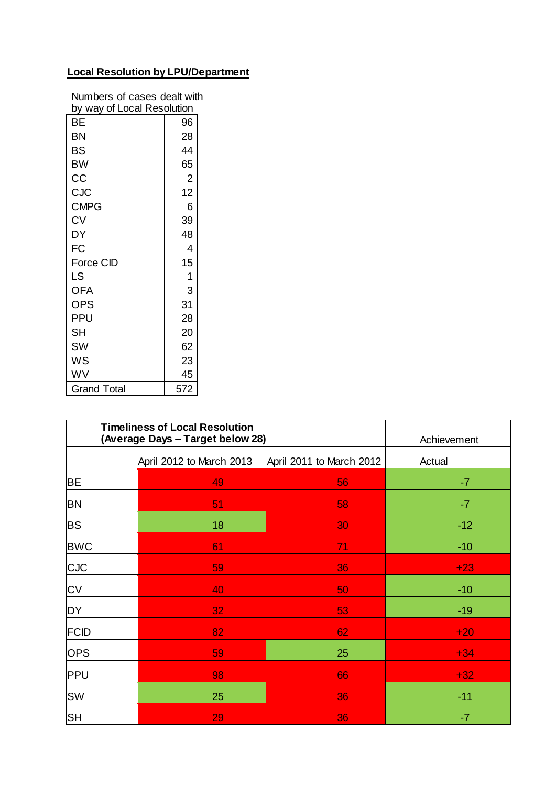# **Local Resolution by LPU/Department**

| Numbers of cases dealt with |                |  |  |
|-----------------------------|----------------|--|--|
| by way of Local Resolution  |                |  |  |
| BE                          | 96             |  |  |
| BN                          | 28             |  |  |
| BS                          | 44             |  |  |
| <b>BW</b>                   | 65             |  |  |
| CC                          | $\overline{2}$ |  |  |
| CJC                         | 12             |  |  |
| <b>CMPG</b>                 | 6              |  |  |
| CV                          | 39             |  |  |
| DY                          | 48             |  |  |
| FC                          | 4              |  |  |
| Force CID                   | 15             |  |  |
| <b>LS</b>                   | 1              |  |  |
| <b>OFA</b>                  | 3              |  |  |
| <b>OPS</b>                  | 31             |  |  |
| <b>PPU</b>                  | 28             |  |  |
| <b>SH</b>                   | 20             |  |  |
| SW                          | 62             |  |  |
| WS                          | 23             |  |  |
| WV                          | 45             |  |  |
| 572<br><b>Grand Total</b>   |                |  |  |

| <b>Timeliness of Local Resolution</b><br>(Average Days - Target below 28) |                          |                          | Achievement |
|---------------------------------------------------------------------------|--------------------------|--------------------------|-------------|
|                                                                           | April 2012 to March 2013 | April 2011 to March 2012 | Actual      |
| <b>BE</b>                                                                 | 49                       | 56                       | $-7$        |
| <b>BN</b>                                                                 | 51                       | 58                       | $-7$        |
| <b>BS</b>                                                                 | 18                       | 30                       | $-12$       |
| <b>BWC</b>                                                                | 61                       | 71                       | $-10$       |
| <b>CJC</b>                                                                | 59                       | 36                       | $+23$       |
| <b>CV</b>                                                                 | 40                       | 50                       | $-10$       |
| <b>DY</b>                                                                 | 32                       | 53                       | $-19$       |
| FCID                                                                      | 82                       | 62                       | $+20$       |
| <b>OPS</b>                                                                | 59                       | 25                       | $+34$       |
| <b>PPU</b>                                                                | 98                       | 66                       | $+32$       |
| <b>SW</b>                                                                 | 25                       | 36                       | $-11$       |
| <b>SH</b>                                                                 | 29                       | 36                       | $-7$        |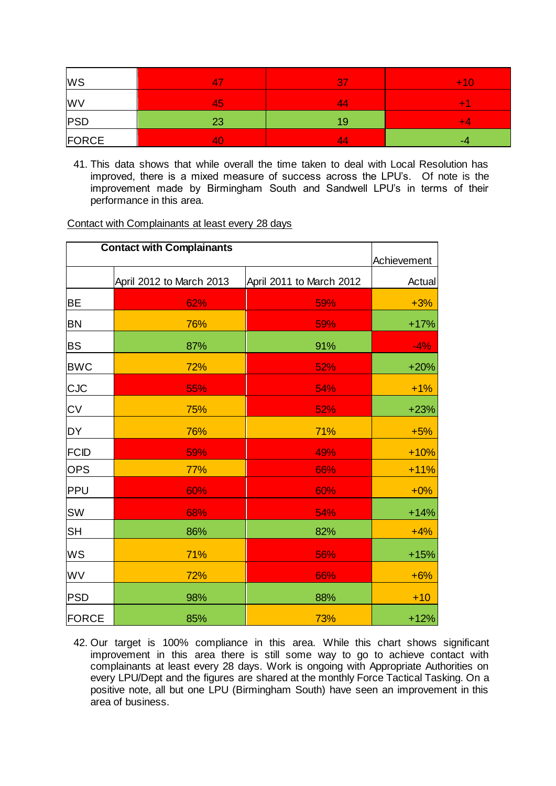| WS        | $\mathbf{A}$<br>4 | <b>87</b> | $+10$                    |
|-----------|-------------------|-----------|--------------------------|
| <b>WV</b> | 45                | 44        | -                        |
| PSD       | 23                | 19        | <b>The Second Second</b> |
| FORCE     | 40                | 44        | -4                       |

41. This data shows that while overall the time taken to deal with Local Resolution has improved, there is a mixed measure of success across the LPU's. Of note is the improvement made by Birmingham South and Sandwell LPU's in terms of their performance in this area.

Contact with Complainants at least every 28 days

| <b>Contact with Complainants</b> |                          |                          | Achievement |
|----------------------------------|--------------------------|--------------------------|-------------|
|                                  | April 2012 to March 2013 | April 2011 to March 2012 | Actual      |
| <b>BE</b>                        | 62%                      | 59%                      | $+3%$       |
| <b>BN</b>                        | 76%                      | 59%                      | $+17%$      |
| <b>BS</b>                        | 87%                      | 91%                      | $-4%$       |
| <b>BWC</b>                       | 72%                      | 52%                      | $+20%$      |
| <b>CJC</b>                       | 55%                      | 54%                      | $+1%$       |
| <b>CV</b>                        | 75%                      | 52%                      | $+23%$      |
| <b>DY</b>                        | 76%                      | 71%                      | $+5%$       |
| <b>FCID</b>                      | 59%                      | 49%                      | $+10%$      |
| <b>OPS</b>                       | 77%                      | 66%                      | $+11%$      |
| PPU                              | 60%                      | 60%                      | $+0\%$      |
| SW                               | 68%                      | 54%                      | $+14%$      |
| <b>SH</b>                        | 86%                      | 82%                      | $+4%$       |
| WS                               | 71%                      | 56%                      | $+15%$      |
| WV                               | 72%                      | 66%                      | $+6%$       |
| <b>PSD</b>                       | 98%                      | 88%                      | $+10$       |
| <b>FORCE</b>                     | 85%                      | 73%                      | $+12%$      |

42. Our target is 100% compliance in this area. While this chart shows significant improvement in this area there is still some way to go to achieve contact with complainants at least every 28 days. Work is ongoing with Appropriate Authorities on every LPU/Dept and the figures are shared at the monthly Force Tactical Tasking. On a positive note, all but one LPU (Birmingham South) have seen an improvement in this area of business.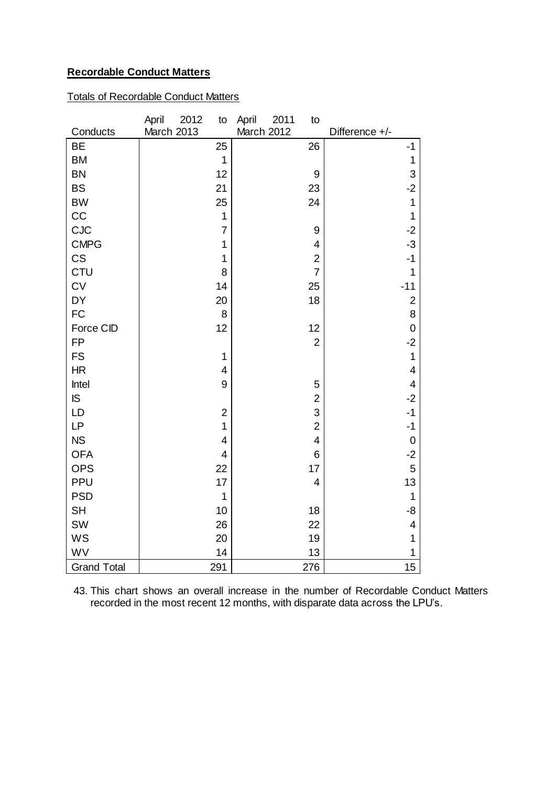# **Recordable Conduct Matters**

# Totals of Recordable Conduct Matters

|                    | April<br>2012<br>to | April<br>2011<br>to      |                         |
|--------------------|---------------------|--------------------------|-------------------------|
| Conducts           | March 2013          | March 2012               | Difference +/-          |
| <b>BE</b>          | 25                  | 26                       | $-1$                    |
| <b>BM</b>          | 1                   |                          | 1                       |
| <b>BN</b>          | 12                  | 9                        | 3                       |
| <b>BS</b>          | 21                  | 23                       | $-2$                    |
| <b>BW</b>          | 25                  | 24                       | $\mathbf 1$             |
| CC                 | $\mathbf 1$         |                          | 1                       |
| <b>CJC</b>         | $\overline{7}$      | 9                        | $-2$                    |
| <b>CMPG</b>        | 1                   | $\overline{4}$           | $-3$                    |
| CS                 | 1                   | $\overline{2}$           | $-1$                    |
| <b>CTU</b>         | 8                   | $\overline{7}$           | 1                       |
| CV                 | 14                  | 25                       | $-11$                   |
| DY                 | 20                  | 18                       | $\overline{c}$          |
| <b>FC</b>          | 8                   |                          | 8                       |
| Force CID          | 12                  | 12                       | $\mathbf 0$             |
| <b>FP</b>          |                     | $\overline{2}$           | $-2$                    |
| <b>FS</b>          | 1                   |                          | $\mathbf{1}$            |
| HR                 | 4                   |                          | 4                       |
| Intel              | 9                   | 5                        | $\overline{\mathbf{4}}$ |
| IS                 |                     | $\overline{2}$           | $-2$                    |
| LD                 | $\overline{2}$      | 3                        | $-1$                    |
| LP                 | 1                   | $\overline{2}$           | $-1$                    |
| <b>NS</b>          | 4                   | $\overline{\mathbf{4}}$  | $\mathbf 0$             |
| <b>OFA</b>         | $\overline{4}$      | 6                        | $-2$                    |
| <b>OPS</b>         | 22                  | 17                       | 5                       |
| PPU                | 17                  | $\overline{\mathcal{L}}$ | 13                      |
| <b>PSD</b>         | $\mathbf 1$         |                          | 1                       |
| <b>SH</b>          | 10                  | 18                       | -8                      |
| SW                 | 26                  | 22                       | 4                       |
| <b>WS</b>          | 20                  | 19                       | 1                       |
| WV                 | 14                  | 13                       | 1                       |
| <b>Grand Total</b> | 291                 | 276                      | 15                      |

43. This chart shows an overall increase in the number of Recordable Conduct Matters recorded in the most recent 12 months, with disparate data across the LPU's.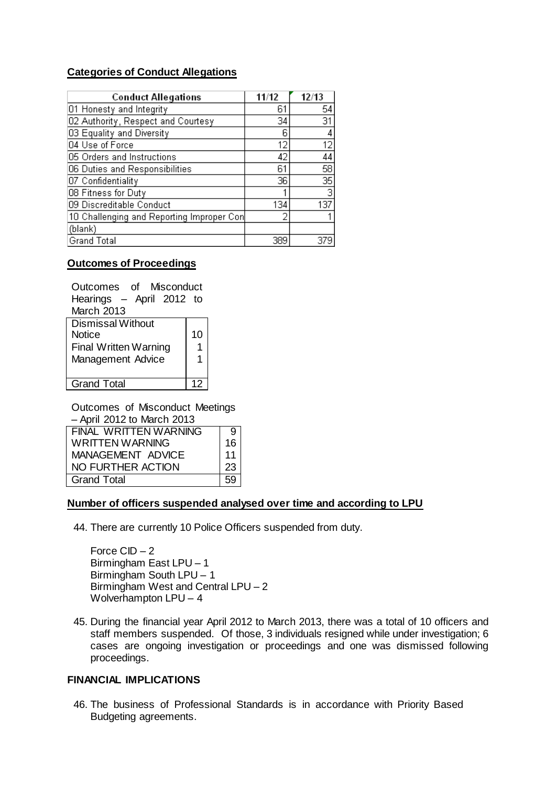# **Categories of Conduct Allegations**

| <b>Conduct Allegations</b>                | 11/12 | 12/13           |
|-------------------------------------------|-------|-----------------|
| 01 Honesty and Integrity                  | 61    | 54              |
| 02 Authority, Respect and Courtesy        | 34    | 31              |
| 03 Equality and Diversity                 | 6     |                 |
| 04 Use of Force                           | 12    | 12              |
| 05 Orders and Instructions                | 42    | 44              |
| 06 Duties and Responsibilities            | 61    | 58              |
| 07 Confidentiality                        | 36    | $\overline{35}$ |
| 08 Fitness for Duty                       |       | 3               |
| 09 Discreditable Conduct                  | 134   | 137             |
| 10 Challenging and Reporting Improper Con |       |                 |
| (blank)                                   |       |                 |
| <b>Grand Total</b>                        | 389   |                 |

## **Outcomes of Proceedings**

| Outcomes of Misconduct   |    |
|--------------------------|----|
| Hearings - April 2012 to |    |
| March 2013               |    |
| <b>Dismissal Without</b> |    |
| <b>Notice</b>            | 10 |
| Final Written Warning    | 1  |
| Management Advice        | 1  |
|                          |    |
| <b>Grand Total</b>       |    |

Outcomes of Misconduct Meetings

– April 2012 to March 2013

| FINAL WRITTEN WARNING | 91   |
|-----------------------|------|
| WRITTEN WARNING       | 16 I |
| MANAGEMENT ADVICE     | 11   |
| NO FURTHER ACTION     | 23   |
| <b>Grand Total</b>    | 59   |

## **Number of officers suspended analysed over time and according to LPU**

44. There are currently 10 Police Officers suspended from duty.

Force CID – 2 Birmingham East LPU – 1 Birmingham South LPU – 1 Birmingham West and Central LPU – 2 Wolverhampton LPU – 4

45. During the financial year April 2012 to March 2013, there was a total of 10 officers and staff members suspended. Of those, 3 individuals resigned while under investigation; 6 cases are ongoing investigation or proceedings and one was dismissed following proceedings.

# **FINANCIAL IMPLICATIONS**

46. The business of Professional Standards is in accordance with Priority Based Budgeting agreements.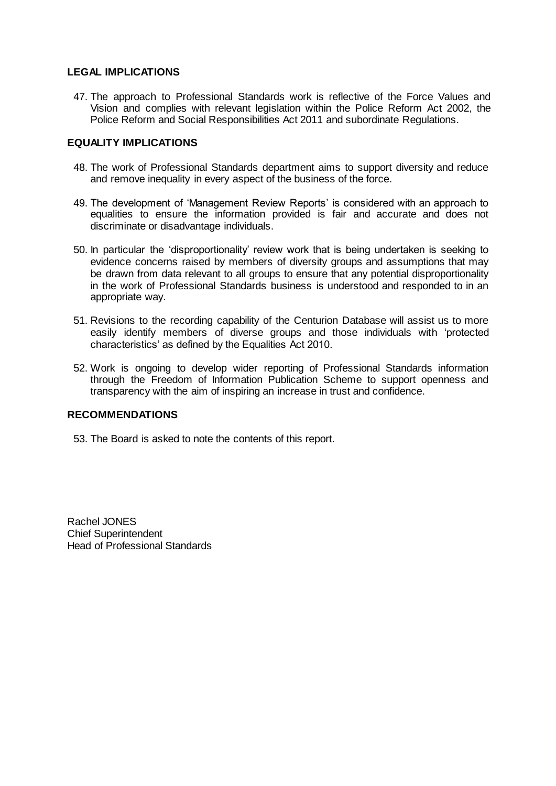## **LEGAL IMPLICATIONS**

47. The approach to Professional Standards work is reflective of the Force Values and Vision and complies with relevant legislation within the Police Reform Act 2002, the Police Reform and Social Responsibilities Act 2011 and subordinate Regulations.

## **EQUALITY IMPLICATIONS**

- 48. The work of Professional Standards department aims to support diversity and reduce and remove inequality in every aspect of the business of the force.
- 49. The development of 'Management Review Reports' is considered with an approach to equalities to ensure the information provided is fair and accurate and does not discriminate or disadvantage individuals.
- 50. In particular the 'disproportionality' review work that is being undertaken is seeking to evidence concerns raised by members of diversity groups and assumptions that may be drawn from data relevant to all groups to ensure that any potential disproportionality in the work of Professional Standards business is understood and responded to in an appropriate way.
- 51. Revisions to the recording capability of the Centurion Database will assist us to more easily identify members of diverse groups and those individuals with 'protected characteristics' as defined by the Equalities Act 2010.
- 52. Work is ongoing to develop wider reporting of Professional Standards information through the Freedom of Information Publication Scheme to support openness and transparency with the aim of inspiring an increase in trust and confidence.

## **RECOMMENDATIONS**

53. The Board is asked to note the contents of this report.

Rachel JONES Chief Superintendent Head of Professional Standards